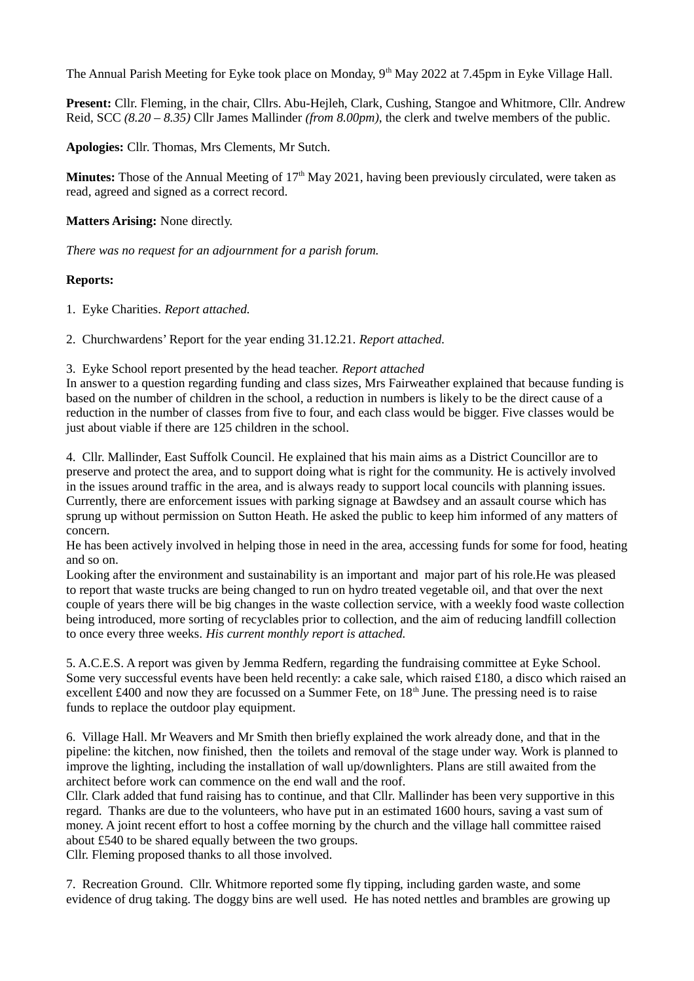The Annual Parish Meeting for Eyke took place on Monday, 9<sup>th</sup> May 2022 at 7.45pm in Eyke Village Hall.

**Present:** Cllr. Fleming, in the chair, Cllrs. Abu-Hejleh, Clark, Cushing, Stangoe and Whitmore, Cllr. Andrew Reid, SCC *(8.20 – 8.35)* Cllr James Mallinder *(from 8.00pm)*, the clerk and twelve members of the public.

**Apologies:** Cllr. Thomas, Mrs Clements, Mr Sutch.

**Minutes:** Those of the Annual Meeting of  $17<sup>th</sup>$  May 2021, having been previously circulated, were taken as read, agreed and signed as a correct record.

**Matters Arising:** None directly.

*There was no request for an adjournment for a parish forum.*

## **Reports:**

1. Eyke Charities. *Report attached.*

2. Churchwardens' Report for the year ending 31.12.21. *Report attached.*

3. Eyke School report presented by the head teacher. *Report attached*

In answer to a question regarding funding and class sizes, Mrs Fairweather explained that because funding is based on the number of children in the school, a reduction in numbers is likely to be the direct cause of a reduction in the number of classes from five to four, and each class would be bigger. Five classes would be just about viable if there are 125 children in the school.

4. Cllr. Mallinder, East Suffolk Council. He explained that his main aims as a District Councillor are to preserve and protect the area, and to support doing what is right for the community. He is actively involved in the issues around traffic in the area, and is always ready to support local councils with planning issues. Currently, there are enforcement issues with parking signage at Bawdsey and an assault course which has sprung up without permission on Sutton Heath. He asked the public to keep him informed of any matters of concern.

He has been actively involved in helping those in need in the area, accessing funds for some for food, heating and so on.

Looking after the environment and sustainability is an important and major part of his role.He was pleased to report that waste trucks are being changed to run on hydro treated vegetable oil, and that over the next couple of years there will be big changes in the waste collection service, with a weekly food waste collection being introduced, more sorting of recyclables prior to collection, and the aim of reducing landfill collection to once every three weeks. *His current monthly report is attached.*

5. A.C.E.S. A report was given by Jemma Redfern, regarding the fundraising committee at Eyke School. Some very successful events have been held recently: a cake sale, which raised £180, a disco which raised an excellent £400 and now they are focussed on a Summer Fete, on  $18<sup>th</sup>$  June. The pressing need is to raise funds to replace the outdoor play equipment.

6. Village Hall. Mr Weavers and Mr Smith then briefly explained the work already done, and that in the pipeline: the kitchen, now finished, then the toilets and removal of the stage under way. Work is planned to improve the lighting, including the installation of wall up/downlighters. Plans are still awaited from the architect before work can commence on the end wall and the roof.

Cllr. Clark added that fund raising has to continue, and that Cllr. Mallinder has been very supportive in this regard. Thanks are due to the volunteers, who have put in an estimated 1600 hours, saving a vast sum of money. A joint recent effort to host a coffee morning by the church and the village hall committee raised about £540 to be shared equally between the two groups.

Cllr. Fleming proposed thanks to all those involved.

7. Recreation Ground. Cllr. Whitmore reported some fly tipping, including garden waste, and some evidence of drug taking. The doggy bins are well used. He has noted nettles and brambles are growing up